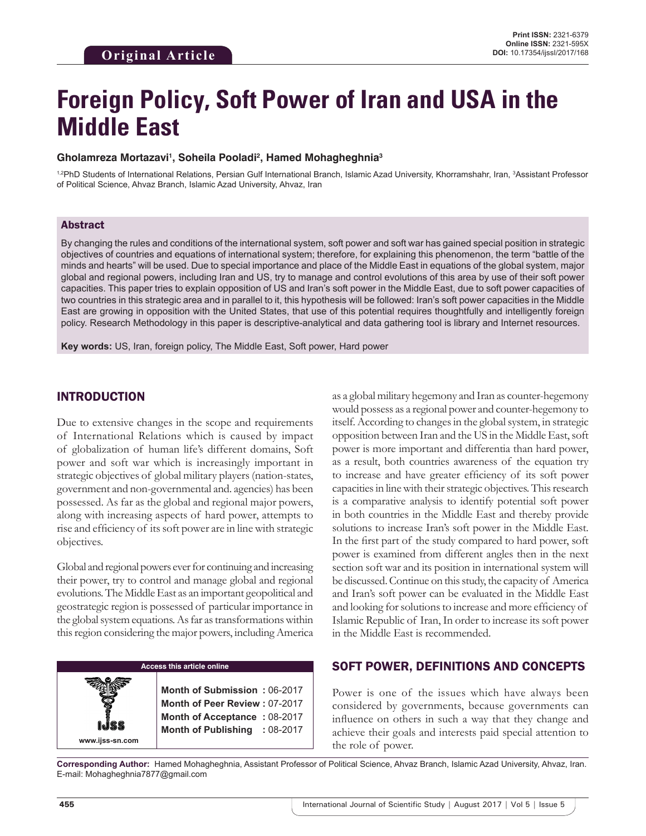# **Foreign Policy, Soft Power of Iran and USA in the Middle East**

#### **Gholamreza Mortazavi1 , Soheila Pooladi2 , Hamed Mohagheghnia3**

<sup>1,2</sup>PhD Students of International Relations, Persian Gulf International Branch, Islamic Azad University, Khorramshahr, Iran, <sup>3</sup>Assistant Professor of Political Science, Ahvaz Branch, Islamic Azad University, Ahvaz, Iran

#### Abstract

By changing the rules and conditions of the international system, soft power and soft war has gained special position in strategic objectives of countries and equations of international system; therefore, for explaining this phenomenon, the term "battle of the minds and hearts" will be used. Due to special importance and place of the Middle East in equations of the global system, major global and regional powers, including Iran and US, try to manage and control evolutions of this area by use of their soft power capacities. This paper tries to explain opposition of US and Iran's soft power in the Middle East, due to soft power capacities of two countries in this strategic area and in parallel to it, this hypothesis will be followed: Iran's soft power capacities in the Middle East are growing in opposition with the United States, that use of this potential requires thoughtfully and intelligently foreign policy. Research Methodology in this paper is descriptive-analytical and data gathering tool is library and Internet resources.

**Key words:** US, Iran, foreign policy, The Middle East, Soft power, Hard power

## INTRODUCTION

Due to extensive changes in the scope and requirements of International Relations which is caused by impact of globalization of human life's different domains, Soft power and soft war which is increasingly important in strategic objectives of global military players (nation-states, government and non-governmental and. agencies) has been possessed. As far as the global and regional major powers, along with increasing aspects of hard power, attempts to rise and efficiency of its soft power are in line with strategic objectives.

Global and regional powers ever for continuing and increasing their power, try to control and manage global and regional evolutions. The Middle East as an important geopolitical and geostrategic region is possessed of particular importance in the global system equations. As far as transformations within this region considering the major powers, including America

#### **Access this article online**

**Month of Submission :** 06-2017 **Month of Peer Review :** 07-2017 **Month of Acceptance :** 08-2017 **Month of Publishing :** 08-2017 as a global military hegemony and Iran as counter-hegemony would possess as a regional power and counter-hegemony to itself. According to changes in the global system, in strategic opposition between Iran and the US in the Middle East, soft power is more important and differentia than hard power, as a result, both countries awareness of the equation try to increase and have greater efficiency of its soft power capacities in line with their strategic objectives. This research is a comparative analysis to identify potential soft power in both countries in the Middle East and thereby provide solutions to increase Iran's soft power in the Middle East. In the first part of the study compared to hard power, soft power is examined from different angles then in the next section soft war and its position in international system will be discussed. Continue on this study, the capacity of America and Iran's soft power can be evaluated in the Middle East and looking for solutions to increase and more efficiency of Islamic Republic of Iran, In order to increase its soft power in the Middle East is recommended.

## SOFT POWER, DEFINITIONS AND CONCEPTS

Power is one of the issues which have always been considered by governments, because governments can influence on others in such a way that they change and achieve their goals and interests paid special attention to the role of power.

**Corresponding Author:** Hamed Mohagheghnia, Assistant Professor of Political Science, Ahvaz Branch, Islamic Azad University, Ahvaz, Iran. E-mail: Mohagheghnia7877@gmail.com

**www.ijss-sn.com**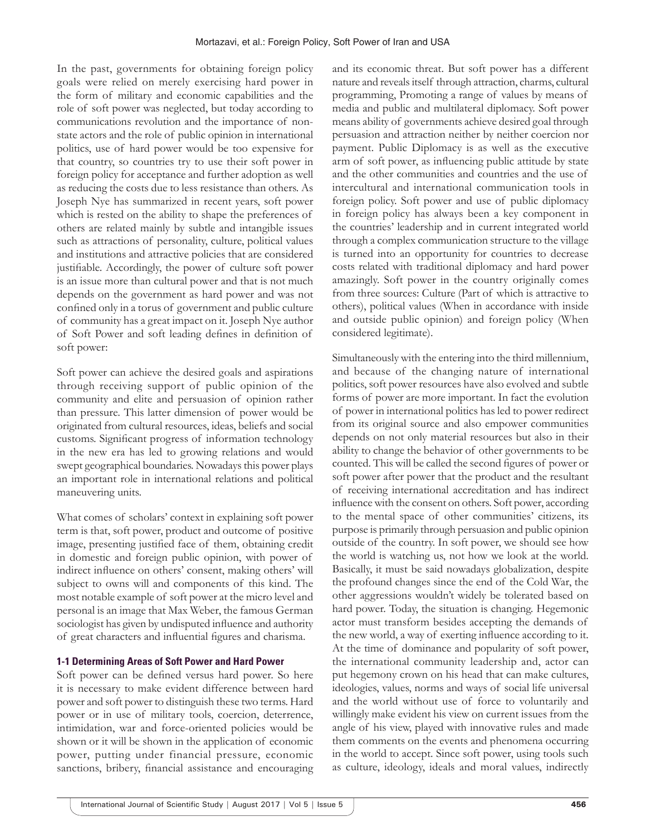In the past, governments for obtaining foreign policy goals were relied on merely exercising hard power in the form of military and economic capabilities and the role of soft power was neglected, but today according to communications revolution and the importance of nonstate actors and the role of public opinion in international politics, use of hard power would be too expensive for that country, so countries try to use their soft power in foreign policy for acceptance and further adoption as well as reducing the costs due to less resistance than others. As Joseph Nye has summarized in recent years, soft power which is rested on the ability to shape the preferences of others are related mainly by subtle and intangible issues such as attractions of personality, culture, political values and institutions and attractive policies that are considered justifiable. Accordingly, the power of culture soft power is an issue more than cultural power and that is not much depends on the government as hard power and was not confined only in a torus of government and public culture of community has a great impact on it. Joseph Nye author of Soft Power and soft leading defines in definition of soft power:

Soft power can achieve the desired goals and aspirations through receiving support of public opinion of the community and elite and persuasion of opinion rather than pressure. This latter dimension of power would be originated from cultural resources, ideas, beliefs and social customs. Significant progress of information technology in the new era has led to growing relations and would swept geographical boundaries. Nowadays this power plays an important role in international relations and political maneuvering units.

What comes of scholars' context in explaining soft power term is that, soft power, product and outcome of positive image, presenting justified face of them, obtaining credit in domestic and foreign public opinion, with power of indirect influence on others' consent, making others' will subject to owns will and components of this kind. The most notable example of soft power at the micro level and personal is an image that Max Weber, the famous German sociologist has given by undisputed influence and authority of great characters and influential figures and charisma.

## **1-1 Determining Areas of Soft Power and Hard Power**

Soft power can be defined versus hard power. So here it is necessary to make evident difference between hard power and soft power to distinguish these two terms. Hard power or in use of military tools, coercion, deterrence, intimidation, war and force-oriented policies would be shown or it will be shown in the application of economic power, putting under financial pressure, economic sanctions, bribery, financial assistance and encouraging and its economic threat. But soft power has a different nature and reveals itself through attraction, charms, cultural programming, Promoting a range of values by means of media and public and multilateral diplomacy. Soft power means ability of governments achieve desired goal through persuasion and attraction neither by neither coercion nor payment. Public Diplomacy is as well as the executive arm of soft power, as influencing public attitude by state and the other communities and countries and the use of intercultural and international communication tools in foreign policy. Soft power and use of public diplomacy in foreign policy has always been a key component in the countries' leadership and in current integrated world through a complex communication structure to the village is turned into an opportunity for countries to decrease costs related with traditional diplomacy and hard power amazingly. Soft power in the country originally comes from three sources: Culture (Part of which is attractive to others), political values (When in accordance with inside and outside public opinion) and foreign policy (When considered legitimate).

Simultaneously with the entering into the third millennium, and because of the changing nature of international politics, soft power resources have also evolved and subtle forms of power are more important. In fact the evolution of power in international politics has led to power redirect from its original source and also empower communities depends on not only material resources but also in their ability to change the behavior of other governments to be counted. This will be called the second figures of power or soft power after power that the product and the resultant of receiving international accreditation and has indirect influence with the consent on others. Soft power, according to the mental space of other communities' citizens, its purpose is primarily through persuasion and public opinion outside of the country. In soft power, we should see how the world is watching us, not how we look at the world. Basically, it must be said nowadays globalization, despite the profound changes since the end of the Cold War, the other aggressions wouldn't widely be tolerated based on hard power. Today, the situation is changing. Hegemonic actor must transform besides accepting the demands of the new world, a way of exerting influence according to it. At the time of dominance and popularity of soft power, the international community leadership and, actor can put hegemony crown on his head that can make cultures, ideologies, values, norms and ways of social life universal and the world without use of force to voluntarily and willingly make evident his view on current issues from the angle of his view, played with innovative rules and made them comments on the events and phenomena occurring in the world to accept. Since soft power, using tools such as culture, ideology, ideals and moral values, indirectly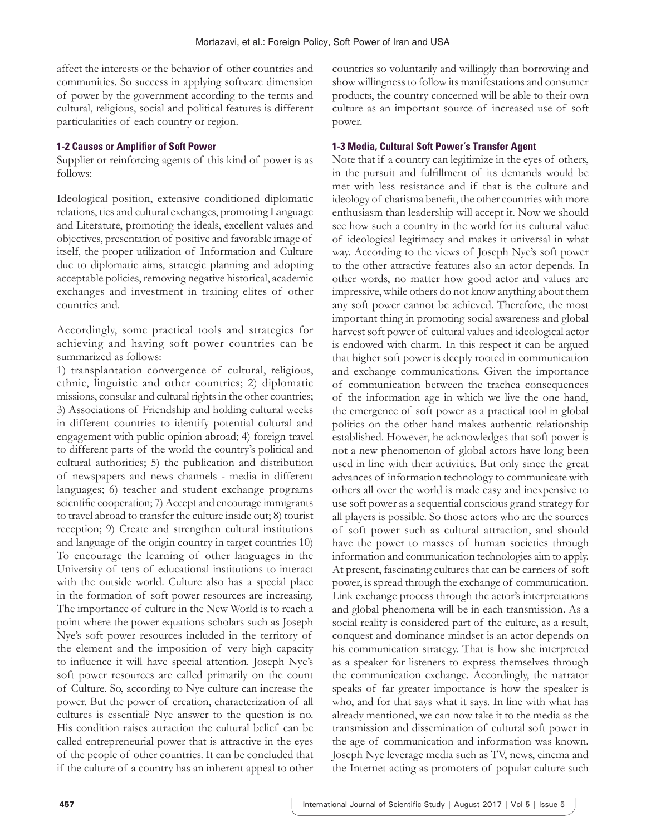affect the interests or the behavior of other countries and communities. So success in applying software dimension of power by the government according to the terms and cultural, religious, social and political features is different particularities of each country or region.

#### **1-2 Causes or Amplifier of Soft Power**

Supplier or reinforcing agents of this kind of power is as follows:

Ideological position, extensive conditioned diplomatic relations, ties and cultural exchanges, promoting Language and Literature, promoting the ideals, excellent values and objectives, presentation of positive and favorable image of itself, the proper utilization of Information and Culture due to diplomatic aims, strategic planning and adopting acceptable policies, removing negative historical, academic exchanges and investment in training elites of other countries and.

Accordingly, some practical tools and strategies for achieving and having soft power countries can be summarized as follows:

1) transplantation convergence of cultural, religious, ethnic, linguistic and other countries; 2) diplomatic missions, consular and cultural rights in the other countries; 3) Associations of Friendship and holding cultural weeks in different countries to identify potential cultural and engagement with public opinion abroad; 4) foreign travel to different parts of the world the country's political and cultural authorities; 5) the publication and distribution of newspapers and news channels - media in different languages; 6) teacher and student exchange programs scientific cooperation; 7) Accept and encourage immigrants to travel abroad to transfer the culture inside out; 8) tourist reception; 9) Create and strengthen cultural institutions and language of the origin country in target countries 10) To encourage the learning of other languages in the University of tens of educational institutions to interact with the outside world. Culture also has a special place in the formation of soft power resources are increasing. The importance of culture in the New World is to reach a point where the power equations scholars such as Joseph Nye's soft power resources included in the territory of the element and the imposition of very high capacity to influence it will have special attention. Joseph Nye's soft power resources are called primarily on the count of Culture. So, according to Nye culture can increase the power. But the power of creation, characterization of all cultures is essential? Nye answer to the question is no. His condition raises attraction the cultural belief can be called entrepreneurial power that is attractive in the eyes of the people of other countries. It can be concluded that if the culture of a country has an inherent appeal to other

countries so voluntarily and willingly than borrowing and show willingness to follow its manifestations and consumer products, the country concerned will be able to their own culture as an important source of increased use of soft power.

#### **1-3 Media, Cultural Soft Power's Transfer Agent**

Note that if a country can legitimize in the eyes of others, in the pursuit and fulfillment of its demands would be met with less resistance and if that is the culture and ideology of charisma benefit, the other countries with more enthusiasm than leadership will accept it. Now we should see how such a country in the world for its cultural value of ideological legitimacy and makes it universal in what way. According to the views of Joseph Nye's soft power to the other attractive features also an actor depends. In other words, no matter how good actor and values are impressive, while others do not know anything about them any soft power cannot be achieved. Therefore, the most important thing in promoting social awareness and global harvest soft power of cultural values and ideological actor is endowed with charm. In this respect it can be argued that higher soft power is deeply rooted in communication and exchange communications. Given the importance of communication between the trachea consequences of the information age in which we live the one hand, the emergence of soft power as a practical tool in global politics on the other hand makes authentic relationship established. However, he acknowledges that soft power is not a new phenomenon of global actors have long been used in line with their activities. But only since the great advances of information technology to communicate with others all over the world is made easy and inexpensive to use soft power as a sequential conscious grand strategy for all players is possible. So those actors who are the sources of soft power such as cultural attraction, and should have the power to masses of human societies through information and communication technologies aim to apply. At present, fascinating cultures that can be carriers of soft power, is spread through the exchange of communication. Link exchange process through the actor's interpretations and global phenomena will be in each transmission. As a social reality is considered part of the culture, as a result, conquest and dominance mindset is an actor depends on his communication strategy. That is how she interpreted as a speaker for listeners to express themselves through the communication exchange. Accordingly, the narrator speaks of far greater importance is how the speaker is who, and for that says what it says. In line with what has already mentioned, we can now take it to the media as the transmission and dissemination of cultural soft power in the age of communication and information was known. Joseph Nye leverage media such as TV, news, cinema and the Internet acting as promoters of popular culture such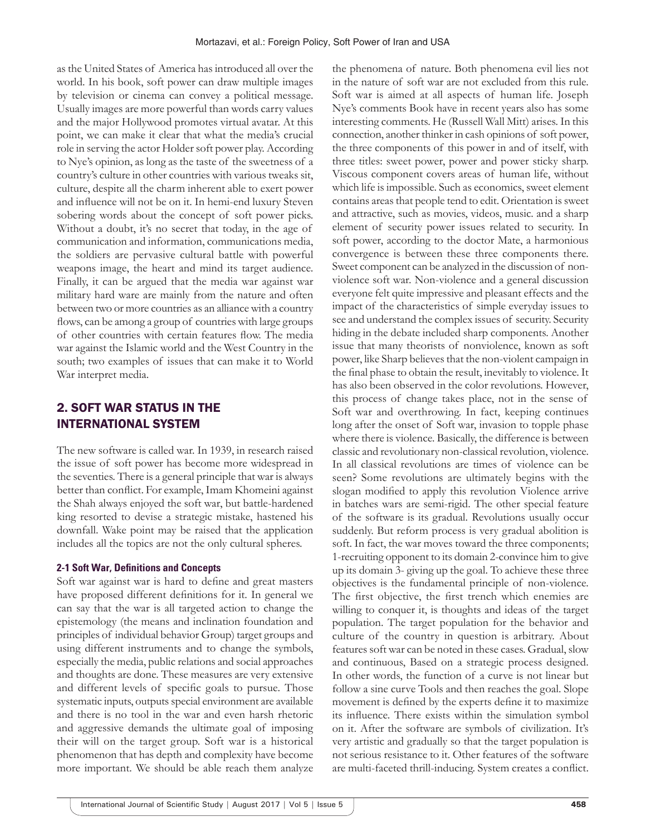as the United States of America has introduced all over the world. In his book, soft power can draw multiple images by television or cinema can convey a political message. Usually images are more powerful than words carry values and the major Hollywood promotes virtual avatar. At this point, we can make it clear that what the media's crucial role in serving the actor Holder soft power play. According to Nye's opinion, as long as the taste of the sweetness of a country's culture in other countries with various tweaks sit, culture, despite all the charm inherent able to exert power and influence will not be on it. In hemi-end luxury Steven sobering words about the concept of soft power picks. Without a doubt, it's no secret that today, in the age of communication and information, communications media, the soldiers are pervasive cultural battle with powerful weapons image, the heart and mind its target audience. Finally, it can be argued that the media war against war military hard ware are mainly from the nature and often between two or more countries as an alliance with a country flows, can be among a group of countries with large groups of other countries with certain features flow. The media war against the Islamic world and the West Country in the south; two examples of issues that can make it to World War interpret media.

## 2. SOFT WAR STATUS IN THE INTERNATIONAL SYSTEM

The new software is called war. In 1939, in research raised the issue of soft power has become more widespread in the seventies. There is a general principle that war is always better than conflict. For example, Imam Khomeini against the Shah always enjoyed the soft war, but battle-hardened king resorted to devise a strategic mistake, hastened his downfall. Wake point may be raised that the application includes all the topics are not the only cultural spheres.

#### **2-1 Soft War, Definitions and Concepts**

Soft war against war is hard to define and great masters have proposed different definitions for it. In general we can say that the war is all targeted action to change the epistemology (the means and inclination foundation and principles of individual behavior Group) target groups and using different instruments and to change the symbols, especially the media, public relations and social approaches and thoughts are done. These measures are very extensive and different levels of specific goals to pursue. Those systematic inputs, outputs special environment are available and there is no tool in the war and even harsh rhetoric and aggressive demands the ultimate goal of imposing their will on the target group. Soft war is a historical phenomenon that has depth and complexity have become more important. We should be able reach them analyze the phenomena of nature. Both phenomena evil lies not in the nature of soft war are not excluded from this rule. Soft war is aimed at all aspects of human life. Joseph Nye's comments Book have in recent years also has some interesting comments. He (Russell Wall Mitt) arises. In this connection, another thinker in cash opinions of soft power, the three components of this power in and of itself, with three titles: sweet power, power and power sticky sharp. Viscous component covers areas of human life, without which life is impossible. Such as economics, sweet element contains areas that people tend to edit. Orientation is sweet and attractive, such as movies, videos, music. and a sharp element of security power issues related to security. In soft power, according to the doctor Mate, a harmonious convergence is between these three components there. Sweet component can be analyzed in the discussion of nonviolence soft war. Non-violence and a general discussion everyone felt quite impressive and pleasant effects and the impact of the characteristics of simple everyday issues to see and understand the complex issues of security. Security hiding in the debate included sharp components. Another issue that many theorists of nonviolence, known as soft power, like Sharp believes that the non-violent campaign in the final phase to obtain the result, inevitably to violence. It has also been observed in the color revolutions. However, this process of change takes place, not in the sense of Soft war and overthrowing. In fact, keeping continues long after the onset of Soft war, invasion to topple phase where there is violence. Basically, the difference is between classic and revolutionary non-classical revolution, violence. In all classical revolutions are times of violence can be seen? Some revolutions are ultimately begins with the slogan modified to apply this revolution Violence arrive in batches wars are semi-rigid. The other special feature of the software is its gradual. Revolutions usually occur suddenly. But reform process is very gradual abolition is soft. In fact, the war moves toward the three components; 1-recruiting opponent to its domain 2-convince him to give up its domain 3- giving up the goal. To achieve these three objectives is the fundamental principle of non-violence. The first objective, the first trench which enemies are willing to conquer it, is thoughts and ideas of the target population. The target population for the behavior and culture of the country in question is arbitrary. About features soft war can be noted in these cases. Gradual, slow and continuous, Based on a strategic process designed. In other words, the function of a curve is not linear but follow a sine curve Tools and then reaches the goal. Slope movement is defined by the experts define it to maximize its influence. There exists within the simulation symbol on it. After the software are symbols of civilization. It's very artistic and gradually so that the target population is not serious resistance to it. Other features of the software are multi-faceted thrill-inducing. System creates a conflict.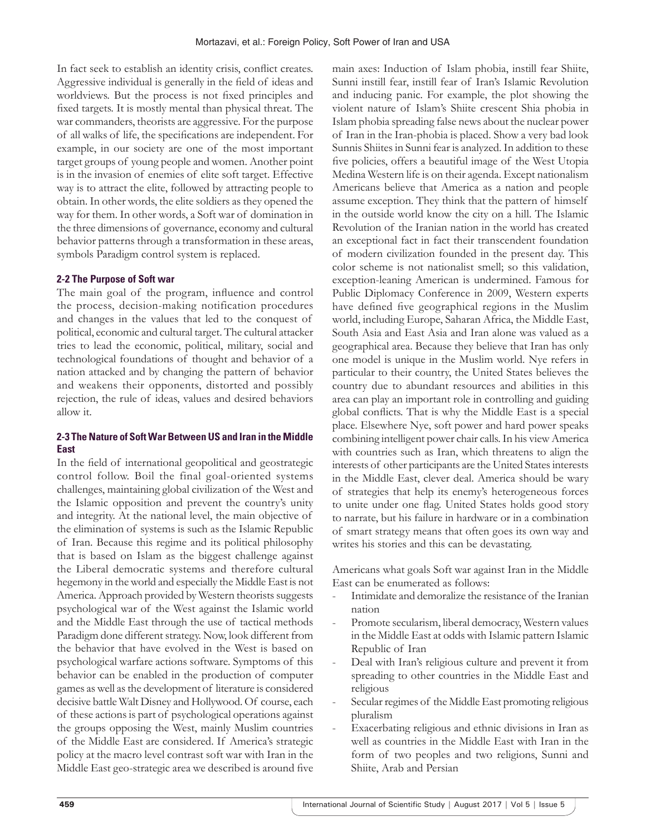In fact seek to establish an identity crisis, conflict creates. Aggressive individual is generally in the field of ideas and worldviews. But the process is not fixed principles and fixed targets. It is mostly mental than physical threat. The war commanders, theorists are aggressive. For the purpose of all walks of life, the specifications are independent. For example, in our society are one of the most important target groups of young people and women. Another point is in the invasion of enemies of elite soft target. Effective way is to attract the elite, followed by attracting people to obtain. In other words, the elite soldiers as they opened the way for them. In other words, a Soft war of domination in the three dimensions of governance, economy and cultural behavior patterns through a transformation in these areas, symbols Paradigm control system is replaced.

#### **2-2 The Purpose of Soft war**

The main goal of the program, influence and control the process, decision-making notification procedures and changes in the values that led to the conquest of political, economic and cultural target. The cultural attacker tries to lead the economic, political, military, social and technological foundations of thought and behavior of a nation attacked and by changing the pattern of behavior and weakens their opponents, distorted and possibly rejection, the rule of ideas, values and desired behaviors allow it.

## **2-3 The Nature of Soft War Between US and Iran in the Middle East**

In the field of international geopolitical and geostrategic control follow. Boil the final goal-oriented systems challenges, maintaining global civilization of the West and the Islamic opposition and prevent the country's unity and integrity. At the national level, the main objective of the elimination of systems is such as the Islamic Republic of Iran. Because this regime and its political philosophy that is based on Islam as the biggest challenge against the Liberal democratic systems and therefore cultural hegemony in the world and especially the Middle East is not America. Approach provided by Western theorists suggests psychological war of the West against the Islamic world and the Middle East through the use of tactical methods Paradigm done different strategy. Now, look different from the behavior that have evolved in the West is based on psychological warfare actions software. Symptoms of this behavior can be enabled in the production of computer games as well as the development of literature is considered decisive battle Walt Disney and Hollywood. Of course, each of these actions is part of psychological operations against the groups opposing the West, mainly Muslim countries of the Middle East are considered. If America's strategic policy at the macro level contrast soft war with Iran in the Middle East geo-strategic area we described is around five

main axes: Induction of Islam phobia, instill fear Shiite, Sunni instill fear, instill fear of Iran's Islamic Revolution and inducing panic. For example, the plot showing the violent nature of Islam's Shiite crescent Shia phobia in Islam phobia spreading false news about the nuclear power of Iran in the Iran-phobia is placed. Show a very bad look Sunnis Shiites in Sunni fear is analyzed. In addition to these five policies, offers a beautiful image of the West Utopia Medina Western life is on their agenda. Except nationalism Americans believe that America as a nation and people assume exception. They think that the pattern of himself in the outside world know the city on a hill. The Islamic Revolution of the Iranian nation in the world has created an exceptional fact in fact their transcendent foundation of modern civilization founded in the present day. This color scheme is not nationalist smell; so this validation, exception-leaning American is undermined. Famous for Public Diplomacy Conference in 2009, Western experts have defined five geographical regions in the Muslim world, including Europe, Saharan Africa, the Middle East, South Asia and East Asia and Iran alone was valued as a geographical area. Because they believe that Iran has only one model is unique in the Muslim world. Nye refers in particular to their country, the United States believes the country due to abundant resources and abilities in this area can play an important role in controlling and guiding global conflicts. That is why the Middle East is a special place. Elsewhere Nye, soft power and hard power speaks combining intelligent power chair calls. In his view America with countries such as Iran, which threatens to align the interests of other participants are the United States interests in the Middle East, clever deal. America should be wary of strategies that help its enemy's heterogeneous forces to unite under one flag. United States holds good story to narrate, but his failure in hardware or in a combination of smart strategy means that often goes its own way and writes his stories and this can be devastating.

Americans what goals Soft war against Iran in the Middle East can be enumerated as follows:

- Intimidate and demoralize the resistance of the Iranian nation
- Promote secularism, liberal democracy, Western values in the Middle East at odds with Islamic pattern Islamic Republic of Iran
- Deal with Iran's religious culture and prevent it from spreading to other countries in the Middle East and religious
- Secular regimes of the Middle East promoting religious pluralism
- Exacerbating religious and ethnic divisions in Iran as well as countries in the Middle East with Iran in the form of two peoples and two religions, Sunni and Shiite, Arab and Persian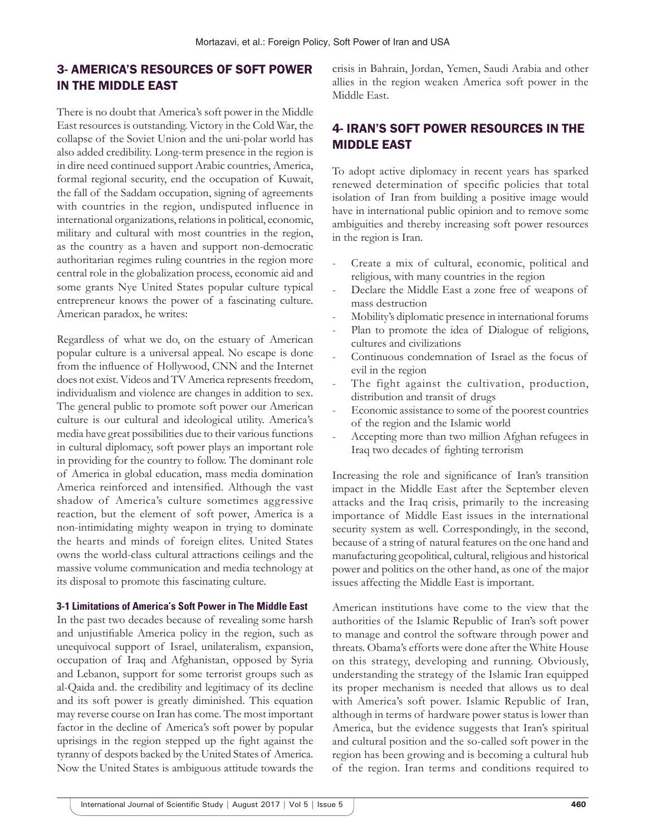# 3- AMERICA'S RESOURCES OF SOFT POWER IN THE MIDDLE EAST

There is no doubt that America's soft power in the Middle East resources is outstanding. Victory in the Cold War, the collapse of the Soviet Union and the uni-polar world has also added credibility. Long-term presence in the region is in dire need continued support Arabic countries, America, formal regional security, end the occupation of Kuwait, the fall of the Saddam occupation, signing of agreements with countries in the region, undisputed influence in international organizations, relations in political, economic, military and cultural with most countries in the region, as the country as a haven and support non-democratic authoritarian regimes ruling countries in the region more central role in the globalization process, economic aid and some grants Nye United States popular culture typical entrepreneur knows the power of a fascinating culture. American paradox, he writes:

Regardless of what we do, on the estuary of American popular culture is a universal appeal. No escape is done from the influence of Hollywood, CNN and the Internet does not exist. Videos and TV America represents freedom, individualism and violence are changes in addition to sex. The general public to promote soft power our American culture is our cultural and ideological utility. America's media have great possibilities due to their various functions in cultural diplomacy, soft power plays an important role in providing for the country to follow. The dominant role of America in global education, mass media domination America reinforced and intensified. Although the vast shadow of America's culture sometimes aggressive reaction, but the element of soft power, America is a non-intimidating mighty weapon in trying to dominate the hearts and minds of foreign elites. United States owns the world-class cultural attractions ceilings and the massive volume communication and media technology at its disposal to promote this fascinating culture.

## **3-1 Limitations of America's Soft Power in The Middle East**

In the past two decades because of revealing some harsh and unjustifiable America policy in the region, such as unequivocal support of Israel, unilateralism, expansion, occupation of Iraq and Afghanistan, opposed by Syria and Lebanon, support for some terrorist groups such as al-Qaida and. the credibility and legitimacy of its decline and its soft power is greatly diminished. This equation may reverse course on Iran has come. The most important factor in the decline of America's soft power by popular uprisings in the region stepped up the fight against the tyranny of despots backed by the United States of America. Now the United States is ambiguous attitude towards the

crisis in Bahrain, Jordan, Yemen, Saudi Arabia and other allies in the region weaken America soft power in the Middle East.

## 4- IRAN'S SOFT POWER RESOURCES IN THE MIDDLE EAST

To adopt active diplomacy in recent years has sparked renewed determination of specific policies that total isolation of Iran from building a positive image would have in international public opinion and to remove some ambiguities and thereby increasing soft power resources in the region is Iran.

- Create a mix of cultural, economic, political and religious, with many countries in the region
- Declare the Middle East a zone free of weapons of mass destruction
- Mobility's diplomatic presence in international forums
- Plan to promote the idea of Dialogue of religions, cultures and civilizations
- Continuous condemnation of Israel as the focus of evil in the region
- The fight against the cultivation, production, distribution and transit of drugs
- Economic assistance to some of the poorest countries of the region and the Islamic world
- Accepting more than two million Afghan refugees in Iraq two decades of fighting terrorism

Increasing the role and significance of Iran's transition impact in the Middle East after the September eleven attacks and the Iraq crisis, primarily to the increasing importance of Middle East issues in the international security system as well. Correspondingly, in the second, because of a string of natural features on the one hand and manufacturing geopolitical, cultural, religious and historical power and politics on the other hand, as one of the major issues affecting the Middle East is important.

American institutions have come to the view that the authorities of the Islamic Republic of Iran's soft power to manage and control the software through power and threats. Obama's efforts were done after the White House on this strategy, developing and running. Obviously, understanding the strategy of the Islamic Iran equipped its proper mechanism is needed that allows us to deal with America's soft power. Islamic Republic of Iran, although in terms of hardware power status is lower than America, but the evidence suggests that Iran's spiritual and cultural position and the so-called soft power in the region has been growing and is becoming a cultural hub of the region. Iran terms and conditions required to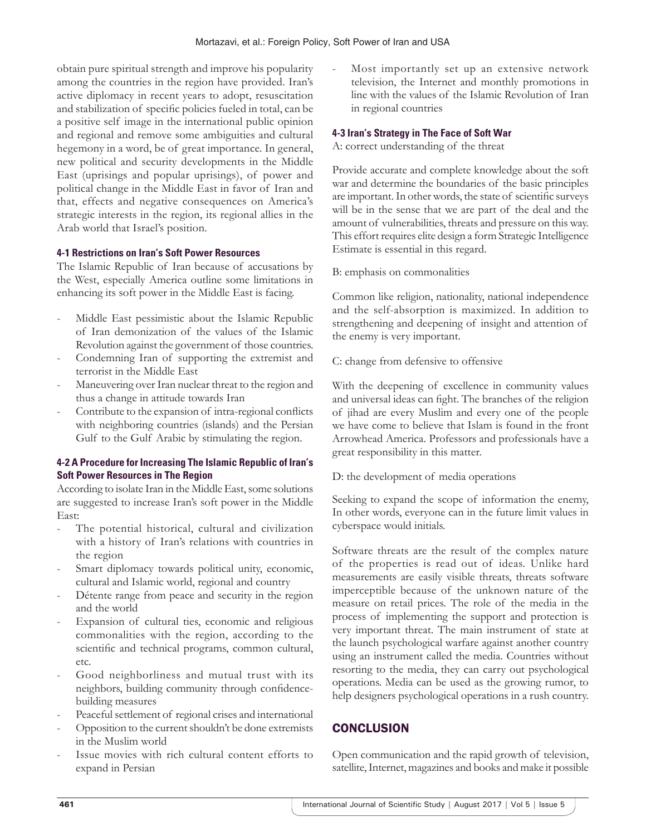obtain pure spiritual strength and improve his popularity among the countries in the region have provided. Iran's active diplomacy in recent years to adopt, resuscitation and stabilization of specific policies fueled in total, can be a positive self image in the international public opinion and regional and remove some ambiguities and cultural hegemony in a word, be of great importance. In general, new political and security developments in the Middle East (uprisings and popular uprisings), of power and political change in the Middle East in favor of Iran and that, effects and negative consequences on America's strategic interests in the region, its regional allies in the Arab world that Israel's position.

#### **4-1 Restrictions on Iran's Soft Power Resources**

The Islamic Republic of Iran because of accusations by the West, especially America outline some limitations in enhancing its soft power in the Middle East is facing.

- Middle East pessimistic about the Islamic Republic of Iran demonization of the values of the Islamic Revolution against the government of those countries.
- Condemning Iran of supporting the extremist and terrorist in the Middle East
- Maneuvering over Iran nuclear threat to the region and thus a change in attitude towards Iran
- Contribute to the expansion of intra-regional conflicts with neighboring countries (islands) and the Persian Gulf to the Gulf Arabic by stimulating the region.

#### **4-2 A Procedure for Increasing The Islamic Republic of Iran's Soft Power Resources in The Region**

According to isolate Iran in the Middle East, some solutions are suggested to increase Iran's soft power in the Middle East:

- The potential historical, cultural and civilization with a history of Iran's relations with countries in the region
- Smart diplomacy towards political unity, economic, cultural and Islamic world, regional and country
- Détente range from peace and security in the region and the world
- Expansion of cultural ties, economic and religious commonalities with the region, according to the scientific and technical programs, common cultural, etc.
- Good neighborliness and mutual trust with its neighbors, building community through confidencebuilding measures
- Peaceful settlement of regional crises and international
- Opposition to the current shouldn't be done extremists in the Muslim world
- Issue movies with rich cultural content efforts to expand in Persian

Most importantly set up an extensive network television, the Internet and monthly promotions in line with the values of the Islamic Revolution of Iran in regional countries

#### **4-3 Iran's Strategy in The Face of Soft War**

A: correct understanding of the threat

Provide accurate and complete knowledge about the soft war and determine the boundaries of the basic principles are important. In other words, the state of scientific surveys will be in the sense that we are part of the deal and the amount of vulnerabilities, threats and pressure on this way. This effort requires elite design a form Strategic Intelligence Estimate is essential in this regard.

B: emphasis on commonalities

Common like religion, nationality, national independence and the self-absorption is maximized. In addition to strengthening and deepening of insight and attention of the enemy is very important.

C: change from defensive to offensive

With the deepening of excellence in community values and universal ideas can fight. The branches of the religion of jihad are every Muslim and every one of the people we have come to believe that Islam is found in the front Arrowhead America. Professors and professionals have a great responsibility in this matter.

D: the development of media operations

Seeking to expand the scope of information the enemy, In other words, everyone can in the future limit values in cyberspace would initials.

Software threats are the result of the complex nature of the properties is read out of ideas. Unlike hard measurements are easily visible threats, threats software imperceptible because of the unknown nature of the measure on retail prices. The role of the media in the process of implementing the support and protection is very important threat. The main instrument of state at the launch psychological warfare against another country using an instrument called the media. Countries without resorting to the media, they can carry out psychological operations. Media can be used as the growing rumor, to help designers psychological operations in a rush country.

# **CONCLUSION**

Open communication and the rapid growth of television, satellite, Internet, magazines and books and make it possible